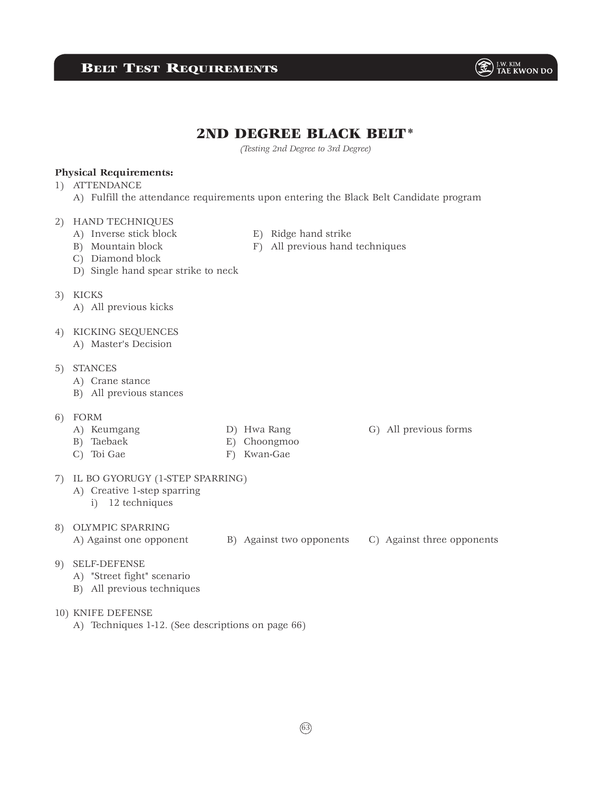## **BELT TEST REQUIREMENTS**



*(Testing 2nd Degree to 3rd Degree)*

## **Physical Requirements:**

- 1) ATTENDANCE
	- A) Fulfill the attendance requirements upon entering the Black Belt Candidate program

#### 2) HAND TECHNIQUES

- 
- A) Inverse stick block E) Ridge hand strike
	-
- C) Diamond block
- D) Single hand spear strike to neck
- 3) KICKS
	- A) All previous kicks
- 4) KICKING SEQUENCES
	- A) Master's Decision

## 5) STANCES

- A) Crane stance
- B) All previous stances
- 6) FORM
	-
- 
- B) Taebaek E) Choongmoo C) Toi Gae F) Kwan-Gae
- 

## 7) IL BO GYORUGY (1-STEP SPARRING)

- A) Creative 1-step sparring
	- i) 12 techniques

### 8) OLYMPIC SPARRING

- A) Against one opponent B) Against two opponents C) Against three opponents
- 9) SELF-DEFENSE
	- A) "Street fight" scenario
	- B) All previous techniques
- 10) KNIFE DEFENSE
	- A) Techniques 1-12. (See descriptions on page 66)

63



- 
- B) Mountain block F) All previous hand techniques

 $\circledast$   $\mathbb{H}^{\text{M. KIM}}$  TAE KWON DO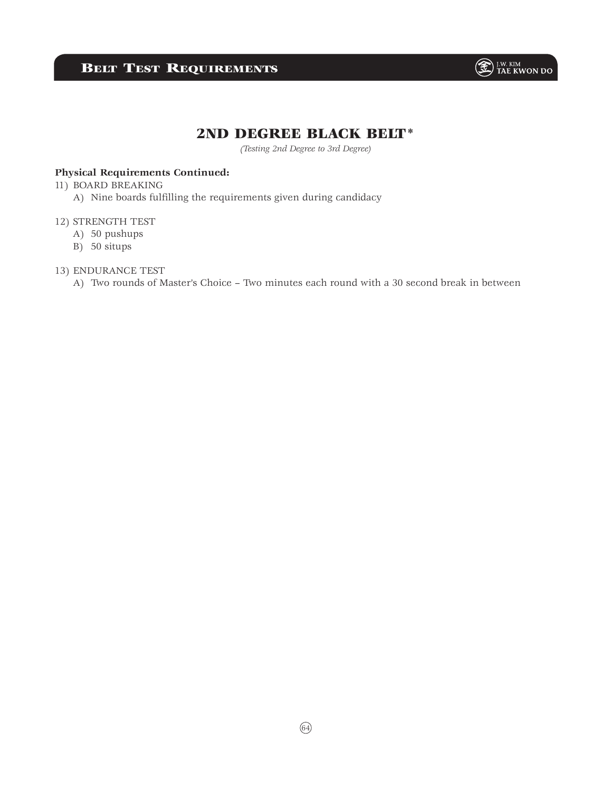# **BELT TEST REQUIREMENTS**



## 2ND DEGREE BLACK BELT\*

*(Testing 2nd Degree to 3rd Degree)*

## **Physical Requirements Continued:**

### 11) BOARD BREAKING

A) Nine boards fulfilling the requirements given during candidacy

### 12) STRENGTH TEST

- A) 50 pushups
- B) 50 situps

### 13) ENDURANCE TEST

A) Two rounds of Master's Choice – Two minutes each round with a 30 second break in between